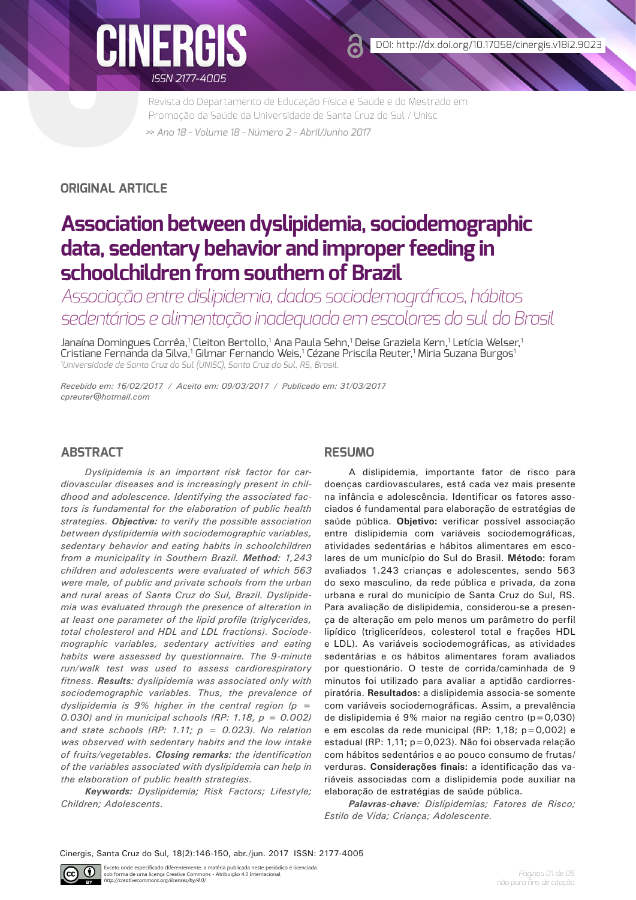

Revista do Departamento de Educação Física e Saúde e do Mestrado em Promoção da Saúde da Universidade de Santa Cruz do Sul / Unisc *>> Ano 18 - Volume 18 - Número 2 - Abril/Junho 2017*

**ORIGINAL ARTICLE**

# **Association between dyslipidemia, sociodemographic data, sedentary behavior and improper feeding in schoolchildren from southern of Brazil**

*Associação entre dislipidemia, dados sociodemográficos, hábitos sedentários e alimentação inadequada em escolares do sul do Brasil*

Janaína Domingues Corrêa,<sup>1</sup> Cleiton Bertollo,<sup>1</sup> Ana Paula Sehn,<sup>1</sup> Deise Graziela Kern,<sup>1</sup> Letícia Welser,<sup>1</sup> Cristiane Fernanda da Silva,' Gilmar Fernando Weis,' Cézane Priscila Reuter,' Miria Suzana Burgos' *1 Universidade de Santa Cruz do Sul (UNISC), Santa Cruz do Sul, RS, Brasil.* 

*Recebido em: 16/02/2017 / Aceito em: 09/03/2017 / Publicado em: 31/03/2017 cpreuter@hotmail.com* 

# **ABSTRACT**

*Dyslipidemia is an important risk factor for cardiovascular diseases and is increasingly present in childhood and adolescence. Identifying the associated factors is fundamental for the elaboration of public health strategies. Objective: to verify the possible association between dyslipidemia with sociodemographic variables, sedentary behavior and eating habits in schoolchildren from a municipality in Southern Brazil. Method: 1,243 children and adolescents were evaluated of which 563 were male, of public and private schools from the urban and rural areas of Santa Cruz do Sul, Brazil. Dyslipidemia was evaluated through the presence of alteration in at least one parameter of the lipid profile (triglycerides, total cholesterol and HDL and LDL fractions). Sociodemographic variables, sedentary activities and eating habits were assessed by questionnaire. The 9-minute run/walk test was used to assess cardiorespiratory fitness. Results: dyslipidemia was associated only with sociodemographic variables. Thus, the prevalence of dyslipidemia is 9% higher in the central region (p = 0.030) and in municipal schools (RP: 1.18, p = 0.002) and state schools (RP: 1.11; p = 0.023). No relation was observed with sedentary habits and the low intake of fruits/vegetables. Closing remarks: the identification of the variables associated with dyslipidemia can help in the elaboration of public health strategies.*

*Keywords: Dyslipidemia; Risk Factors; Lifestyle; Children; Adolescents.*

## **RESUMO**

A dislipidemia, importante fator de risco para doenças cardiovasculares, está cada vez mais presente na infância e adolescência. Identificar os fatores associados é fundamental para elaboração de estratégias de saúde pública. **Objetivo:** verificar possível associação entre dislipidemia com variáveis sociodemográficas, atividades sedentárias e hábitos alimentares em escolares de um município do Sul do Brasil. **Método:** foram avaliados 1.243 crianças e adolescentes, sendo 563 do sexo masculino, da rede pública e privada, da zona urbana e rural do município de Santa Cruz do Sul, RS. Para avaliação de dislipidemia, considerou-se a presença de alteração em pelo menos um parâmetro do perfil lipídico (triglicerídeos, colesterol total e frações HDL e LDL). As variáveis sociodemográficas, as atividades sedentárias e os hábitos alimentares foram avaliados por questionário. O teste de corrida/caminhada de 9 minutos foi utilizado para avaliar a aptidão cardiorrespiratória. **Resultados:** a dislipidemia associa-se somente com variáveis sociodemográficas. Assim, a prevalência de dislipidemia é 9% maior na região centro (p=0,030) e em escolas da rede municipal (RP: 1,18; p=0,002) e estadual (RP: 1,11; p=0,023). Não foi observada relação com hábitos sedentários e ao pouco consumo de frutas/ verduras. **Considerações finais:** a identificação das variáveis associadas com a dislipidemia pode auxiliar na elaboração de estratégias de saúde pública.

*Palavras-chave: Dislipidemias; Fatores de Risco; Estilo de Vida; Criança; Adolescente.*

Cinergis, Santa Cruz do Sul, 18(2):146-150, abr./jun. 2017 ISSN: 2177-4005

 $\odot$ Exceto onde especificado diferentemente, a matéria publicada neste periódico é licenciada sob forma de uma licença Creative Commons - Atribuição 4.0 Internacional. *http://creativecommons.org/licenses/by/4.0/*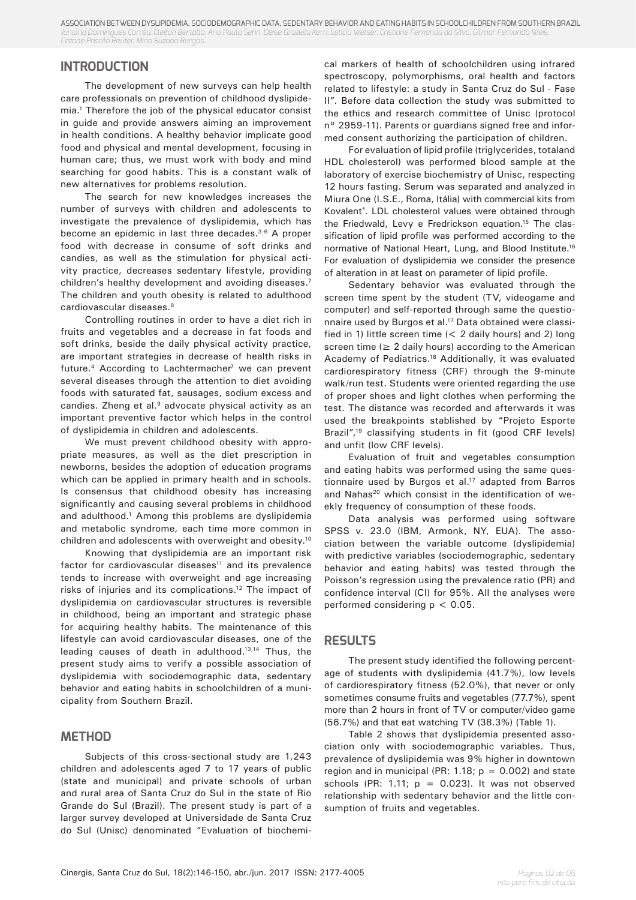ASSOCIATION BETWEEN DYSLIPIDEMIA, SOCIODEMOGRAPHIC DATA, SEDENTARY BEHAVIOR AND EATING HABITS IN SCHOOLCHILDREN FROM SOUTHERN BRAZIL *Janaína Domingues Corrêa, Cleiton Bertollo, Ana Paula Sehn, Deise Graziela Kern, Letícia Welser, Cristiane Fernanda da Silva, Gilmar Fernando Weis, Cézane Priscila Reuter, Miria Suzana Burgos.*

# **INTRODUCTION**

The development of new surveys can help health care professionals on prevention of childhood dyslipidemia.1 Therefore the job of the physical educator consist in guide and provide answers aiming an improvement in health conditions. A healthy behavior implicate good food and physical and mental development, focusing in human care; thus, we must work with body and mind searching for good habits. This is a constant walk of new alternatives for problems resolution.

The search for new knowledges increases the number of surveys with children and adolescents to investigate the prevalence of dyslipidemia, which has become an epidemic in last three decades.<sup>3-6</sup> A proper food with decrease in consume of soft drinks and candies, as well as the stimulation for physical activity practice, decreases sedentary lifestyle, providing children's healthy development and avoiding diseases.<sup>7</sup> The children and youth obesity is related to adulthood cardiovascular diseases.8

Controlling routines in order to have a diet rich in fruits and vegetables and a decrease in fat foods and soft drinks, beside the daily physical activity practice, are important strategies in decrease of health risks in future.<sup>4</sup> According to Lachtermacher<sup>7</sup> we can prevent several diseases through the attention to diet avoiding foods with saturated fat, sausages, sodium excess and candies. Zheng et al.<sup>9</sup> advocate physical activity as an important preventive factor which helps in the control of dyslipidemia in children and adolescents.

We must prevent childhood obesity with appropriate measures, as well as the diet prescription in newborns, besides the adoption of education programs which can be applied in primary health and in schools. Is consensus that childhood obesity has increasing significantly and causing several problems in childhood and adulthood.1 Among this problems are dyslipidemia and metabolic syndrome, each time more common in children and adolescents with overweight and obesity.10

Knowing that dyslipidemia are an important risk factor for cardiovascular diseases $11$  and its prevalence tends to increase with overweight and age increasing risks of injuries and its complications.12 The impact of dyslipidemia on cardiovascular structures is reversible in childhood, being an important and strategic phase for acquiring healthy habits. The maintenance of this lifestyle can avoid cardiovascular diseases, one of the leading causes of death in adulthood.13,14 Thus, the present study aims to verify a possible association of dyslipidemia with sociodemographic data, sedentary behavior and eating habits in schoolchildren of a municipality from Southern Brazil.

## **METHOD**

Subjects of this cross-sectional study are 1,243 children and adolescents aged 7 to 17 years of public (state and municipal) and private schools of urban and rural area of Santa Cruz do Sul in the state of Rio Grande do Sul (Brazil). The present study is part of a larger survey developed at Universidade de Santa Cruz do Sul (Unisc) denominated "Evaluation of biochemical markers of health of schoolchildren using infrared spectroscopy, polymorphisms, oral health and factors related to lifestyle: a study in Santa Cruz do Sul - Fase II". Before data collection the study was submitted to the ethics and research committee of Unisc (protocol n° 2959-11). Parents or guardians signed free and informed consent authorizing the participation of children.

For evaluation of lipid profile (triglycerides, totaland HDL cholesterol) was performed blood sample at the laboratory of exercise biochemistry of Unisc, respecting 12 hours fasting. Serum was separated and analyzed in Miura One (I.S.E., Roma, Itália) with commercial kits from Kovalent® . LDL cholesterol values were obtained through the Friedwald, Levy e Fredrickson equation.<sup>15</sup> The classification of lipid profile was performed according to the normative of National Heart, Lung, and Blood Institute.<sup>16</sup> For evaluation of dyslipidemia we consider the presence of alteration in at least on parameter of lipid profile.

Sedentary behavior was evaluated through the screen time spent by the student (TV, videogame and computer) and self-reported through same the questionnaire used by Burgos et al.<sup>17</sup> Data obtained were classified in 1) little screen time  $(< 2$  daily hours) and 2) long screen time ( $\geq 2$  daily hours) according to the American Academy of Pediatrics.<sup>18</sup> Additionally, it was evaluated cardiorespiratory fitness (CRF) through the 9-minute walk/run test. Students were oriented regarding the use of proper shoes and light clothes when performing the test. The distance was recorded and afterwards it was used the breakpoints stablished by "Projeto Esporte Brazil",<sup>19</sup> classifying students in fit (good CRF levels) and unfit (low CRF levels).

Evaluation of fruit and vegetables consumption and eating habits was performed using the same questionnaire used by Burgos et al.<sup>17</sup> adapted from Barros and Nahas<sup>20</sup> which consist in the identification of weekly frequency of consumption of these foods.

Data analysis was performed using software SPSS v. 23.0 (IBM, Armonk, NY, EUA). The association between the variable outcome (dyslipidemia) with predictive variables (sociodemographic, sedentary behavior and eating habits) was tested through the Poisson's regression using the prevalence ratio (PR) and confidence interval (CI) for 95%. All the analyses were performed considering  $p < 0.05$ .

#### **RESULTS**

The present study identified the following percentage of students with dyslipidemia (41.7%), low levels of cardiorespiratory fitness (52.0%), that never or only sometimes consume fruits and vegetables (77.7%), spent more than 2 hours in front of TV or computer/video game (56.7%) and that eat watching TV (38.3%) (Table 1).

Table 2 shows that dyslipidemia presented association only with sociodemographic variables. Thus, prevalence of dyslipidemia was 9% higher in downtown region and in municipal (PR: 1.18;  $p = 0.002$ ) and state schools (PR: 1.11;  $p = 0.023$ ). It was not observed relationship with sedentary behavior and the little consumption of fruits and vegetables.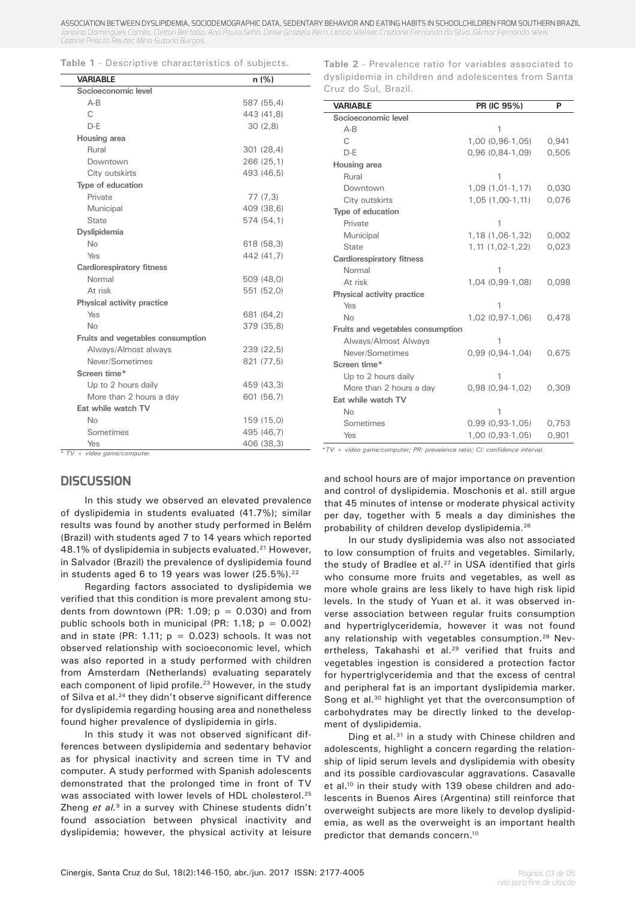ASSOCIATION BETWEEN DYSLIPIDEMIA, SOCIODEMOGRAPHIC DATA, SEDENTARY BEHAVIOR AND EATING HABITS IN SCHOOLCHILDREN FROM SOUTHERN BRAZIL *Janaína Domingues Corrêa, Cleiton Bertollo, Ana Paula Sehn, Deise Graziela Kern, Letícia Welser, Cristiane Fernanda da Silva, Gilmar Fernando Weis, Cézane Priscila Reuter, Miria Suzana Burgos.*

|  |  |  | <b>Table 1</b> - Descriptive characteristics of subjects. |  |  |
|--|--|--|-----------------------------------------------------------|--|--|
|--|--|--|-----------------------------------------------------------|--|--|

| <b>VARIABLE</b>                   | n (%)      |
|-----------------------------------|------------|
| Socioeconomic level               |            |
| $A - B$                           | 587 (55,4) |
| C                                 | 443 (41.8) |
| $D-F$                             | 30(2,8)    |
| Housing area                      |            |
| Rural                             | 301 (28,4) |
| Downtown                          | 266 (25.1) |
| City outskirts                    | 493 (46.5) |
| Type of education                 |            |
| Private                           | 77(7,3)    |
| Municipal                         | 409 (38,6) |
| <b>State</b>                      | 574 (54,1) |
| Dyslipidemia                      |            |
| No                                | 618 (58,3) |
| Yes                               | 442 (41,7) |
| <b>Cardiorespiratory fitness</b>  |            |
| Normal                            | 509 (48,0) |
| At risk                           | 551 (52,0) |
| Physical activity practice        |            |
| Yes                               | 681 (64,2) |
| No                                | 379 (35.8) |
| Fruits and vegetables consumption |            |
| Always/Almost always              | 239 (22,5) |
| Never/Sometimes                   | 821 (77,5) |
| Screen time*                      |            |
| Up to 2 hours daily               | 459 (43,3) |
| More than 2 hours a day           | 601 (56,7) |
| Eat while watch TV                |            |
| No                                | 159 (15,0) |
| Sometimes                         | 495 (46,7) |
| Yes<br>$TV +$ vídeo asma/computer | 406 (38,3) |

#### **DISCUSSION**

In this study we observed an elevated prevalence of dyslipidemia in students evaluated (41.7%); similar results was found by another study performed in Belém (Brazil) with students aged 7 to 14 years which reported 48.1% of dyslipidemia in subjects evaluated.<sup>21</sup> However, in Salvador (Brazil) the prevalence of dyslipidemia found in students aged 6 to 19 years was lower (25.5%).<sup>22</sup>

Regarding factors associated to dyslipidemia we verified that this condition is more prevalent among students from downtown (PR: 1.09;  $p = 0.030$ ) and from public schools both in municipal (PR: 1.18;  $p = 0.002$ ) and in state (PR: 1.11;  $p = 0.023$ ) schools. It was not observed relationship with socioeconomic level, which was also reported in a study performed with children from Amsterdam (Netherlands) evaluating separately each component of lipid profile.<sup>23</sup> However, in the study of Silva et al.<sup>24</sup> they didn't observe significant difference for dyslipidemia regarding housing area and nonetheless found higher prevalence of dyslipidemia in girls.

In this study it was not observed significant differences between dyslipidemia and sedentary behavior as for physical inactivity and screen time in TV and computer. A study performed with Spanish adolescents demonstrated that the prolonged time in front of TV was associated with lower levels of HDL cholesterol.<sup>25</sup> Zheng *et al.*9 in a survey with Chinese students didn't found association between physical inactivity and dyslipidemia; however, the physical activity at leisure

**Table 2** - Prevalence ratio for variables associated to dyslipidemia in children and adolescentes from Santa Cruz do Sul, Brazil.

| <b>VARIABLE</b>                   | PR (IC 95%)           | P     |
|-----------------------------------|-----------------------|-------|
| Socioeconomic level               |                       |       |
| $A-B$                             |                       |       |
| C                                 | 1,00 (0,96-1,05)      | 0,941 |
| $D-F$                             | $0,96(0,84-1,09)$     | 0,505 |
| Housing area                      |                       |       |
| Rural                             |                       |       |
| Downtown                          | $1,09(1,01-1,17)$     | 0,030 |
| City outskirts                    | 1,05 (1,00-1,11)      | 0,076 |
| Type of education                 |                       |       |
| Private                           | 1                     |       |
| Municipal                         | 1,18 (1,06-1,32)      | 0.002 |
| <b>State</b>                      | 1, 11 (1, 02 - 1, 22) | 0,023 |
| <b>Cardiorespiratory fitness</b>  |                       |       |
| Normal                            | 1                     |       |
| At risk                           | 1,04 (0,99-1,08)      | 0,098 |
| Physical activity practice        |                       |       |
| Yes                               | 1                     |       |
| <b>No</b>                         | 1,02 (0,97-1,06)      | 0.478 |
| Fruits and vegetables consumption |                       |       |
| Always/Almost Always              | 1                     |       |
| Never/Sometimes                   | $0,99(0,94-1,04)$     | 0.675 |
| Screen time*                      |                       |       |
| Up to 2 hours daily               |                       |       |
| More than 2 hours a day           | $0,98(0,94-1,02)$     | 0.309 |
| Eat while watch TV                |                       |       |
| No                                | 1                     |       |
| Sometimes                         | $0,99(0,93-1,05)$     | 0,753 |
| Yes                               | 1,00 (0,93-1,05)      | 0,901 |

*\*TV + vídeo game/computer; PR: prevalence ratio; CI: confidence interval. \* TV + vídeo game/computer.*

and school hours are of major importance on prevention and control of dyslipidemia. Moschonis et al. still argue that 45 minutes of intense or moderate physical activity per day, together with 5 meals a day diminishes the probability of children develop dyslipidemia.26

In our study dyslipidemia was also not associated to low consumption of fruits and vegetables. Similarly, the study of Bradlee et al.<sup>27</sup> in USA identified that girls who consume more fruits and vegetables, as well as more whole grains are less likely to have high risk lipid levels. In the study of Yuan et al. it was observed inverse association between regular fruits consumption and hypertriglyceridemia, however it was not found any relationship with vegetables consumption.<sup>28</sup> Nevertheless, Takahashi et al.<sup>29</sup> verified that fruits and vegetables ingestion is considered a protection factor for hypertriglyceridemia and that the excess of central and peripheral fat is an important dyslipidemia marker. Song et al.<sup>30</sup> highlight yet that the overconsumption of carbohydrates may be directly linked to the development of dyslipidemia.

Ding et al*.* 31 in a study with Chinese children and adolescents, highlight a concern regarding the relationship of lipid serum levels and dyslipidemia with obesity and its possible cardiovascular aggravations. Casavalle et al.<sup>10</sup> in their study with 139 obese children and adolescents in Buenos Aires (Argentina) still reinforce that overweight subjects are more likely to develop dyslipidemia, as well as the overweight is an important health predictor that demands concern.10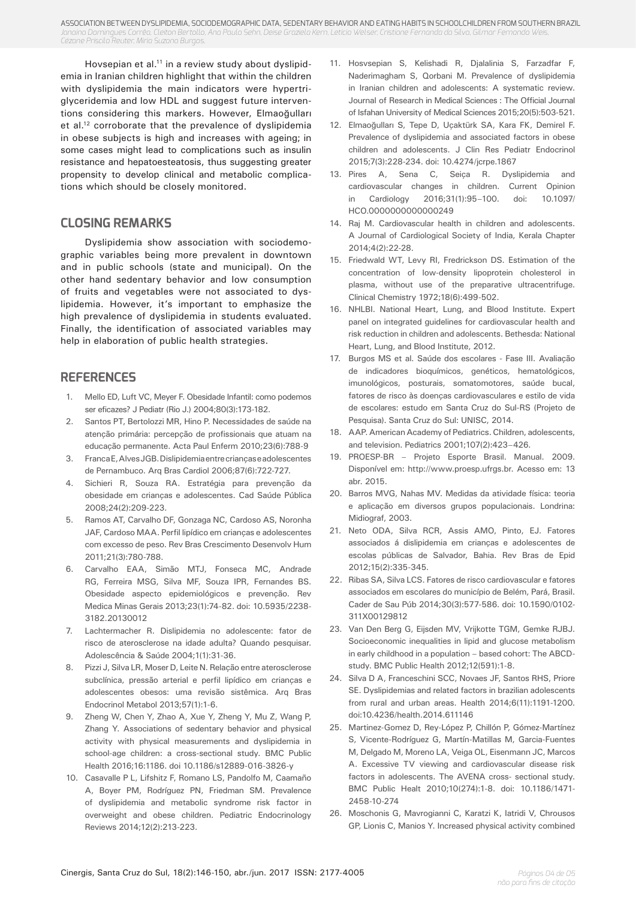ASSOCIATION BETWEEN DYSLIPIDEMIA, SOCIODEMOGRAPHIC DATA, SEDENTARY BEHAVIOR AND EATING HABITS IN SCHOOLCHILDREN FROM SOUTHERN BRAZIL *Janaína Domingues Corrêa, Cleiton Bertollo, Ana Paula Sehn, Deise Graziela Kern, Letícia Welser, Cristiane Fernanda da Silva, Gilmar Fernando Weis, Cézane Priscila Reuter, Miria Suzana Burgos.*

Hovsepian et al.<sup>11</sup> in a review study about dyslipidemia in Iranian children highlight that within the children with dyslipidemia the main indicators were hypertriglyceridemia and low HDL and suggest future interventions considering this markers. However, Elmaoğulları et al.12 corroborate that the prevalence of dyslipidemia in obese subjects is high and increases with ageing; in some cases might lead to complications such as insulin resistance and hepatoesteatosis, thus suggesting greater propensity to develop clinical and metabolic complications which should be closely monitored.

# **CLOSING REMARKS**

Dyslipidemia show association with sociodemographic variables being more prevalent in downtown and in public schools (state and municipal). On the other hand sedentary behavior and low consumption of fruits and vegetables were not associated to dyslipidemia. However, it's important to emphasize the high prevalence of dyslipidemia in students evaluated. Finally, the identification of associated variables may help in elaboration of public health strategies.

### **REFERENCES**

- 1. Mello ED, Luft VC, Meyer F. Obesidade Infantil: como podemos ser eficazes? J Pediatr (Rio J.) 2004;80(3):173-182.
- 2. Santos PT, Bertolozzi MR, Hino P. Necessidades de saúde na atenção primária: percepção de profissionais que atuam na educação permanente. Acta Paul Enferm 2010;23(6):788-9
- 3. Franca E, Alves JGB. Dislipidemia entre crianças e adolescentes de Pernambuco. Arq Bras Cardiol 2006;87(6):722-727.
- 4. Sichieri R, Souza RA. Estratégia para prevenção da obesidade em crianças e adolescentes. Cad Saúde Pública 2008;24(2):209-223.
- 5. Ramos AT, Carvalho DF, Gonzaga NC, Cardoso AS, Noronha JAF, Cardoso MAA. Perfil lipídico em crianças e adolescentes com excesso de peso. Rev Bras Crescimento Desenvolv Hum 2011;21(3):780-788.
- 6. Carvalho EAA, Simão MTJ, Fonseca MC, Andrade RG, Ferreira MSG, Silva MF, Souza IPR, Fernandes BS. Obesidade aspecto epidemiológicos e prevenção. Rev Medica Minas Gerais 2013;23(1):74-82. doi: 10.5935/2238- 3182.20130012
- 7. Lachtermacher R. Dislipidemia no adolescente: fator de risco de aterosclerose na idade adulta? Quando pesquisar. Adolescência & Saúde 2004;1(1):31-36.
- 8. Pizzi J, Silva LR, Moser D, Leite N. Relação entre aterosclerose subclínica, pressão arterial e perfil lipídico em crianças e adolescentes obesos: uma revisão sistêmica. Arq Bras Endocrinol Metabol 2013;57(1):1-6.
- 9. Zheng W, Chen Y, Zhao A, Xue Y, Zheng Y, Mu Z, Wang P, Zhang Y. Associations of sedentary behavior and physical activity with physical measurements and dyslipidemia in school-age children: a cross-sectional study. BMC Public Health 2016;16:1186. doi 10.1186/s12889-016-3826-y
- 10. Casavalle P L, Lifshitz F, Romano LS, Pandolfo M, Caamaño A, Boyer PM, Rodríguez PN, Friedman SM. Prevalence of dyslipidemia and metabolic syndrome risk factor in overweight and obese children. Pediatric Endocrinology Reviews 2014;12(2):213-223.
- 11. Hosvsepian S, Kelishadi R, Djalalinia S, Farzadfar F, Naderimagham S, Qorbani M. Prevalence of dyslipidemia in Iranian children and adolescents: A systematic review. Journal of Research in Medical Sciences : The Official Journal of Isfahan University of Medical Sciences 2015;20(5):503-521.
- 12. Elmaoğulları S, Tepe D, Uçaktürk SA, Kara FK, Demirel F. Prevalence of dyslipidemia and associated factors in obese children and adolescents. J Clin Res Pediatr Endocrinol 2015;7(3):228-234. doi: 10.4274/jcrpe.1867
- 13. Pires A, Sena C, Seiça R. Dyslipidemia and cardiovascular changes in children. Current Opinion in Cardiology 2016;31(1):95–100. doi: 10.1097/ HCO.0000000000000249
- 14. Raj M. Cardiovascular health in children and adolescents. A Journal of Cardiological Society of India, Kerala Chapter 2014;4(2):22-28.
- 15. Friedwald WT, Levy RI, Fredrickson DS. Estimation of the concentration of low-density lipoprotein cholesterol in plasma, without use of the preparative ultracentrifuge. Clinical Chemistry 1972;18(6):499-502.
- 16. NHLBI. National Heart, Lung, and Blood Institute. Expert panel on integrated guidelines for cardiovascular health and risk reduction in children and adolescents. Bethesda: National Heart, Lung, and Blood Institute, 2012.
- 17. Burgos MS et al. Saúde dos escolares Fase III. Avaliação de indicadores bioquímicos, genéticos, hematológicos, imunológicos, posturais, somatomotores, saúde bucal, fatores de risco às doenças cardiovasculares e estilo de vida de escolares: estudo em Santa Cruz do Sul-RS (Projeto de Pesquisa). Santa Cruz do Sul: UNISC, 2014.
- 18. AAP. American Academy of Pediatrics. Children, adolescents, and television. Pediatrics 2001;107(2):423–426.
- 19. PROESP-BR Projeto Esporte Brasil. Manual. 2009. Disponível em: http://www.proesp.ufrgs.br. Acesso em: 13 abr. 2015.
- 20. Barros MVG, Nahas MV. Medidas da atividade física: teoria e aplicação em diversos grupos populacionais. Londrina: Midiograf, 2003.
- 21. Neto ODA, Silva RCR, Assis AMO, Pinto, EJ. Fatores associados á dislipidemia em crianças e adolescentes de escolas públicas de Salvador, Bahia. Rev Bras de Epid 2012;15(2):335-345.
- 22. Ribas SA, Silva LCS. Fatores de risco cardiovascular e fatores associados em escolares do município de Belém, Pará, Brasil. Cader de Sau Púb 2014;30(3):577-586. doi: 10.1590/0102- 311X00129812
- 23. Van Den Berg G, Eijsden MV, Vrijkotte TGM, Gemke RJBJ. Socioeconomic inequalities in lipid and glucose metabolism in early childhood in a population – based cohort: The ABCDstudy. BMC Public Health 2012;12(591):1-8.
- 24. Silva D A, Franceschini SCC, Novaes JF, Santos RHS, Priore SE. Dyslipidemias and related factors in brazilian adolescents from rural and urban areas. Health 2014;6(11):1191-1200. doi:10.4236/health.2014.611146
- 25. Martinez-Gomez D, Rey-López P, Chillón P, Gómez-Martínez S, Vicente-Rodríguez G, Martín-Matillas M, Garcia-Fuentes M, Delgado M, Moreno LA, Veiga OL, Eisenmann JC, Marcos A. Excessive TV viewing and cardiovascular disease risk factors in adolescents. The AVENA cross- sectional study. BMC Public Healt 2010;10(274):1-8. doi: 10.1186/1471- 2458-10-274
- 26. Moschonis G, Mavrogianni C, Karatzi K, Iatridi V, Chrousos GP, Lionis C, Manios Y. Increased physical activity combined